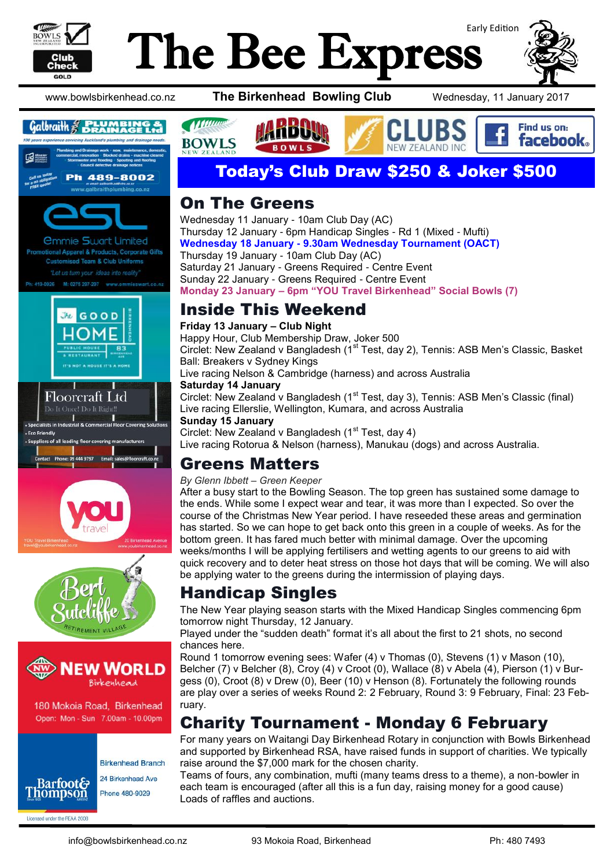

# Early Edition The Bee Express



#### $Gal$ *braith*  $\frac{2}{5}$  **DRAINAGE Ltd**



al Apparel & Products, Corporate Gifts **Customised Team & Club Uniforms** "Let us turn your ideas into reality

M: 0275 297-297 www.emmieswart.co.nz Ph: 419-0926











180 Mokoia Road, Birkenhead Open: Mon - Sun 7.00am - 10.00pm



Licensed under the REAA 2008

**Birkenhead Branch** 24 Birkenhead Ave Phone 480-9029

www.bowlsbirkenhead.co.nz **The Birkenhead Bowling Club** Wednesday, 11 January 2017



## Today's Club Draw \$250 & Joker \$500

#### On The Greens

Wednesday 11 January - 10am Club Day (AC) Thursday 12 January - 6pm Handicap Singles - Rd 1 (Mixed - Mufti) **Wednesday 18 January - 9.30am Wednesday Tournament (OACT)**  Thursday 19 January - 10am Club Day (AC) Saturday 21 January - Greens Required - Centre Event Sunday 22 January - Greens Required - Centre Event **Monday 23 January – 6pm "YOU Travel Birkenhead" Social Bowls (7)**

#### Inside This Weekend

#### **Friday 13 January – Club Night**

Happy Hour, Club Membership Draw, Joker 500 Circlet: New Zealand v Bangladesh (1<sup>st</sup> Test, day 2), Tennis: ASB Men's Classic, Basket Ball: Breakers v Sydney Kings Live racing Nelson & Cambridge (harness) and across Australia **Saturday 14 January** Circlet: New Zealand v Bangladesh (1<sup>st</sup> Test, day 3), Tennis: ASB Men's Classic (final)

Live racing Ellerslie, Wellington, Kumara, and across Australia **Sunday 15 January** Circlet: New Zealand v Bangladesh (1<sup>st</sup> Test, day 4)

Live racing Rotorua & Nelson (harness), Manukau (dogs) and across Australia.

## Greens Matters

#### *By Glenn Ibbett – Green Keeper*

After a busy start to the Bowling Season. The top green has sustained some damage to the ends. While some I expect wear and tear, it was more than I expected. So over the course of the Christmas New Year period. I have reseeded these areas and germination has started. So we can hope to get back onto this green in a couple of weeks. As for the bottom green. It has fared much better with minimal damage. Over the upcoming weeks/months I will be applying fertilisers and wetting agents to our greens to aid with quick recovery and to deter heat stress on those hot days that will be coming. We will also be applying water to the greens during the intermission of playing days.

## Handicap Singles

The New Year playing season starts with the Mixed Handicap Singles commencing 6pm tomorrow night Thursday, 12 January.

Played under the "sudden death" format it's all about the first to 21 shots, no second chances here.

Round 1 tomorrow evening sees: Wafer (4) v Thomas (0), Stevens (1) v Mason (10), Belcher (7) v Belcher (8), Croy (4) v Croot (0), Wallace (8) v Abela (4), Pierson (1) v Burgess (0), Croot (8) v Drew (0), Beer (10) v Henson (8). Fortunately the following rounds are play over a series of weeks Round 2: 2 February, Round 3: 9 February, Final: 23 February.

## Charity Tournament - Monday 6 February

For many years on Waitangi Day Birkenhead Rotary in conjunction with Bowls Birkenhead and supported by Birkenhead RSA, have raised funds in support of charities. We typically raise around the \$7,000 mark for the chosen charity.

Teams of fours, any combination, mufti (many teams dress to a theme), a non-bowler in each team is encouraged (after all this is a fun day, raising money for a good cause) Loads of raffles and auctions.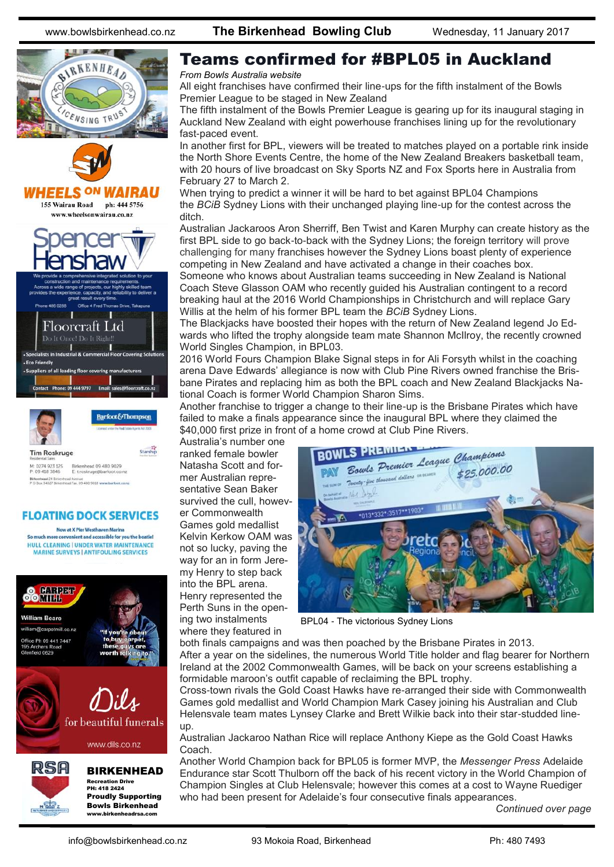



Barfoot&Thompson

Starship

**Tim Roskruge** 

M: 0274 923 125 Birkenhead 09 480 9029<br>P: 09 418 3846 E: troskruge@barfoot.co Birkenhead 24 Birkenhead Avenue<br>P.O.Box 34027 Birkenhead Fax, 09 480 9018 www.harfoot.c

#### **FLOATING DOCK SERVICES**

Now at X Pier Westhaven Marina So much more convenient and accessible for you the boatie! HULL CLEANING | UNDER WATER MAINTENANCE MARINE SURVEYS | ANTIFOULING SERVICES



#### Teams confirmed for #BPL05 in Auckland

#### *From Bowls Australia website*

All eight franchises have confirmed their line-ups for the fifth instalment of the Bowls Premier League to be staged in New Zealand

The fifth instalment of the Bowls Premier League is gearing up for its inaugural staging in Auckland New Zealand with eight powerhouse franchises lining up for the revolutionary fast-paced event.

In another first for BPL, viewers will be treated to matches played on a portable rink inside the North Shore Events Centre, the home of the New Zealand Breakers basketball team, with 20 hours of live broadcast on Sky Sports NZ and Fox Sports here in Australia from February 27 to March 2.

When trying to predict a winner it will be hard to bet against BPL04 Champions the *BCiB* Sydney Lions with their unchanged playing line-up for the contest across the ditch.

Australian Jackaroos Aron Sherriff, Ben Twist and Karen Murphy can create history as the first BPL side to go back-to-back with the Sydney Lions; the foreign territory will prove challenging for many franchises however the Sydney Lions boast plenty of experience competing in New Zealand and have activated a change in their coaches box.

Someone who knows about Australian teams succeeding in New Zealand is National Coach Steve Glasson OAM who recently guided his Australian contingent to a record breaking haul at the 2016 World Championships in Christchurch and will replace Gary Willis at the helm of his former BPL team the *BCiB* Sydney Lions.

The Blackjacks have boosted their hopes with the return of New Zealand legend Jo Edwards who lifted the trophy alongside team mate Shannon McIlroy, the recently crowned World Singles Champion, in BPL03.

2016 World Fours Champion Blake Signal steps in for Ali Forsyth whilst in the coaching arena Dave Edwards' allegiance is now with Club Pine Rivers owned franchise the Brisbane Pirates and replacing him as both the BPL coach and New Zealand Blackjacks National Coach is former World Champion Sharon Sims.

Another franchise to trigger a change to their line-up is the Brisbane Pirates which have failed to make a finals appearance since the inaugural BPL where they claimed the \$40,000 first prize in front of a home crowd at Club Pine Rivers.

Australia's number one ranked female bowler Natasha Scott and former Australian representative Sean Baker survived the cull, however Commonwealth Games gold medallist Kelvin Kerkow OAM was not so lucky, paving the way for an in form Jeremy Henry to step back into the BPL arena. Henry represented the Perth Suns in the opening two instalments where they featured in



BPL04 - The victorious Sydney Lions

both finals campaigns and was then poached by the Brisbane Pirates in 2013. After a year on the sidelines, the numerous World Title holder and flag bearer for Northern Ireland at the 2002 Commonwealth Games, will be back on your screens establishing a formidable maroon's outfit capable of reclaiming the BPL trophy.

Cross-town rivals the Gold Coast Hawks have re-arranged their side with Commonwealth Games gold medallist and World Champion Mark Casey joining his Australian and Club Helensvale team mates Lynsey Clarke and Brett Wilkie back into their star-studded lineup.

Australian Jackaroo Nathan Rice will replace Anthony Kiepe as the Gold Coast Hawks Coach.

Another World Champion back for BPL05 is former MVP, the *Messenger Press* Adelaide Endurance star Scott Thulborn off the back of his recent victory in the World Champion of Champion Singles at Club Helensvale; however this comes at a cost to Wayne Ruediger who had been present for Adelaide's four consecutive finals appearances.

*Continued over page*

www.birkenheadrsa.com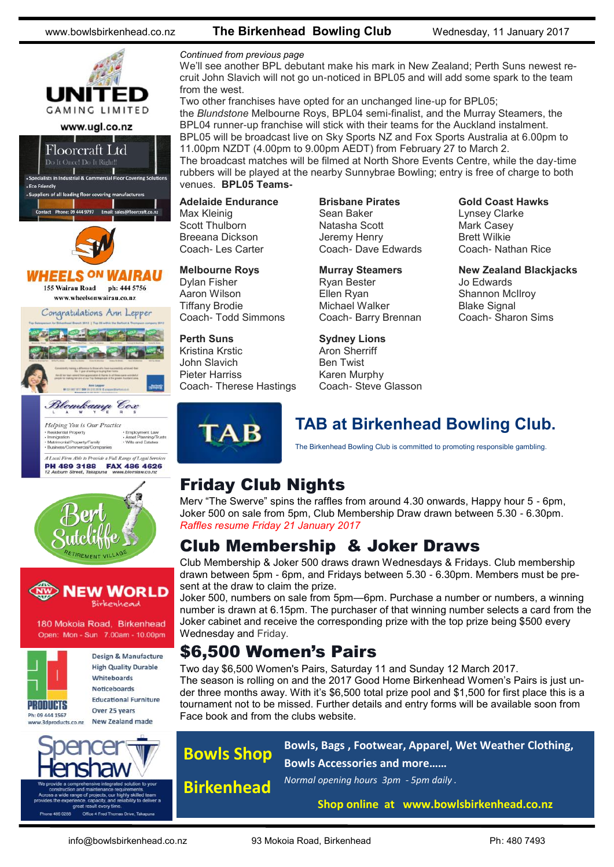

## HEELS <sup>ON</sup> WAIRAU

155 Wairau Road ph: 444 5756 www.wheelsonwairau.co.nz







180 Mokoia Road, Birkenhead Open: Mon - Sun 7.00am - 10.00pm



Design & Manufacture **High Quality Durable** Whiteboards Noticeboards **Educational Furniture** Over 25 years

ducts.co.nz



#### www.bowlsbirkenhead.co.nz **The Birkenhead Bowling Club** Wednesday, 11 January 2017

#### *Continued from previous page*

We'll see another BPL debutant make his mark in New Zealand; Perth Suns newest recruit John Slavich will not go un-noticed in BPL05 and will add some spark to the team from the west.

Two other franchises have opted for an unchanged line-up for BPL05; the *Blundstone* Melbourne Roys, BPL04 semi-finalist, and the Murray Steamers, the BPL04 runner-up franchise will stick with their teams for the Auckland instalment. BPL05 will be broadcast live on Sky Sports NZ and Fox Sports Australia at 6.00pm to 11.00pm NZDT (4.00pm to 9.00pm AEDT) from February 27 to March 2. The broadcast matches will be filmed at North Shore Events Centre, while the day-time rubbers will be played at the nearby Sunnybrae Bowling; entry is free of charge to both

**Adelaide Endurance** Max Kleinig Scott Thulborn Breeana Dickson Coach- Les Carter

venues. **BPL05 Teams-**

**Melbourne Roys** Dylan Fisher Aaron Wilson Tiffany Brodie Coach- Todd Simmons

**Perth Suns** Kristina Krstic John Slavich Pieter Harriss Coach- Therese Hastings **Brisbane Pirates** Sean Baker Natasha Scott Jeremy Henry Coach- Dave Edwards

**Murray Steamers** Ryan Bester Ellen Ryan Michael Walker Coach- Barry Brennan

**Sydney Lions** Aron Sherriff Ben Twist Karen Murphy Coach- Steve Glasson **Gold Coast Hawks** Lynsey Clarke Mark Casey Brett Wilkie Coach- Nathan Rice

**New Zealand Blackjacks** Jo Edwards Shannon McIlroy Blake Signal Coach- Sharon Sims

**TAB** 

#### **TAB at Birkenhead Bowling Club.**

The Birkenhead Bowling Club is committed to promoting responsible gambling.

## Friday Club Nights

Merv "The Swerve" spins the raffles from around 4.30 onwards, Happy hour 5 - 6pm, Joker 500 on sale from 5pm, Club Membership Draw drawn between 5.30 - 6.30pm. *Raffles resume Friday 21 January 2017*

## Club Membership & Joker Draws

Club Membership & Joker 500 draws drawn Wednesdays & Fridays. Club membership drawn between 5pm - 6pm, and Fridays between 5.30 - 6.30pm. Members must be present at the draw to claim the prize.

Joker 500, numbers on sale from 5pm—6pm. Purchase a number or numbers, a winning number is drawn at 6.15pm. The purchaser of that winning number selects a card from the Joker cabinet and receive the corresponding prize with the top prize being \$500 every Wednesday and Friday.

## \$6,500 Women's Pairs

Two day \$6,500 Women's Pairs, Saturday 11 and Sunday 12 March 2017. The season is rolling on and the 2017 Good Home Birkenhead Women's Pairs is just under three months away. With it's \$6,500 total prize pool and \$1,500 for first place this is a tournament not to be missed. Further details and entry forms will be available soon from Face book and from the clubs website.

*Normal opening hours 3pm - 5pm daily .*

**Bowls Shop Birkenhead**

**Bowls, Bags , Footwear, Apparel, Wet Weather Clothing, Bowls Accessories and more……**

**Shop online at www.bowlsbirkenhead.co.nz**